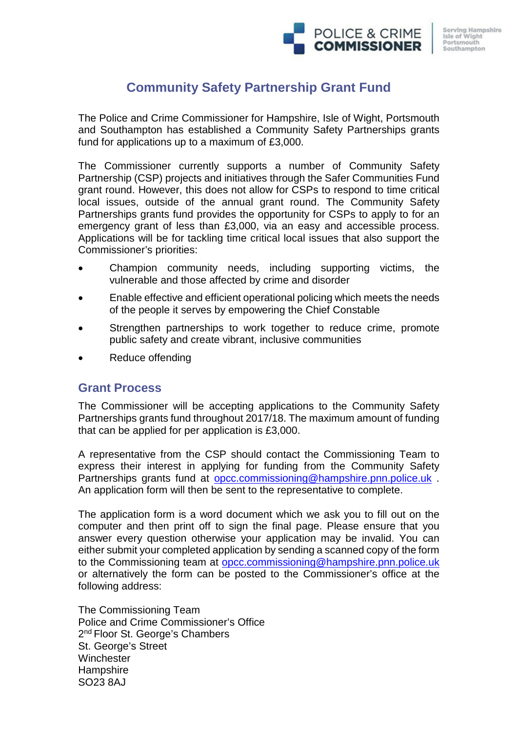# **Community Safety Partnership Grant Fund**

The Police and Crime Commissioner for Hampshire, Isle of Wight, Portsmouth and Southampton has established a Community Safety Partnerships grants fund for applications up to a maximum of £3,000.

The Commissioner currently supports a number of Community Safety Partnership (CSP) projects and initiatives through the Safer Communities Fund grant round. However, this does not allow for CSPs to respond to time critical local issues, outside of the annual grant round. The Community Safety Partnerships grants fund provides the opportunity for CSPs to apply to for an emergency grant of less than £3,000, via an easy and accessible process. Applications will be for tackling time critical local issues that also support the Commissioner's priorities:

- Champion community needs, including supporting victims, the vulnerable and those affected by crime and disorder
- Enable effective and efficient operational policing which meets the needs of the people it serves by empowering the Chief Constable
- Strengthen partnerships to work together to reduce crime, promote public safety and create vibrant, inclusive communities
- Reduce offending

## **Grant Process**

The Commissioner will be accepting applications to the Community Safety Partnerships grants fund throughout 2017/18. The maximum amount of funding that can be applied for per application is £3,000.

A representative from the CSP should contact the Commissioning Team to express their interest in applying for funding from the Community Safety Partnerships grants fund at [opcc.commissioning@hampshire.pnn.police.uk](mailto:opcc.commissioning@hampshire.pnn.police.uk) . An application form will then be sent to the representative to complete.

The application form is a word document which we ask you to fill out on the computer and then print off to sign the final page. Please ensure that you answer every question otherwise your application may be invalid. You can either submit your completed application by sending a scanned copy of the form to the Commissioning team at [opcc.commissioning@hampshire.pnn.police.uk](mailto:opcc.commissioning@hampshire.pnn.police.uk) or alternatively the form can be posted to the Commissioner's office at the following address:

The Commissioning Team Police and Crime Commissioner's Office 2<sup>nd</sup> Floor St. George's Chambers St. George's Street **Winchester Hampshire** SO23 8AJ